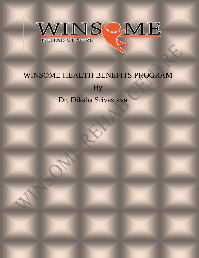

## WINSOME HEALTH BENEFITS PROGRAM

By

## Dr. Diksha Srivastava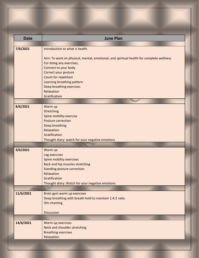| <b>Date</b> | <b>June Plan</b>                                                                        |
|-------------|-----------------------------------------------------------------------------------------|
|             |                                                                                         |
| 7/6/2021    | Introduction to what is health.                                                         |
|             |                                                                                         |
|             | Aim: To work on physical, mental, emotional, and spiritual health for complete wellness |
|             | For doing any exercises,                                                                |
|             | Connect to your body                                                                    |
|             | Correct your posture                                                                    |
|             | Count for repetition                                                                    |
|             | Learning breathing pattern                                                              |
|             | Deep breathing exercises                                                                |
|             | Relaxation                                                                              |
|             | Gratification                                                                           |
|             |                                                                                         |
| 8/6/2021    | Warm up                                                                                 |
|             | Stretching                                                                              |
|             | Spine mobility exercise                                                                 |
|             | Posture correction                                                                      |
|             | Deep breathing                                                                          |
|             | Relaxation                                                                              |
|             | Gratification                                                                           |
|             | Thought diary: watch for your negative emotions                                         |
|             |                                                                                         |
| 9/6/2021    | Warm up                                                                                 |
|             | Leg exercises                                                                           |
|             | Spine mobility exercises                                                                |
|             | Back and hip muscles stretching                                                         |
|             | <b>Standing posture correction</b><br>Relaxation                                        |
|             | Gratification                                                                           |
|             | Thought diary: Watch for your negative emotions                                         |
|             |                                                                                         |
|             |                                                                                         |
| 11/6/2021   | Brain gym warm up exercises<br>Deep breathing with breath hold to maintain 1:4:2 ratio  |
|             | Om chanting                                                                             |
|             |                                                                                         |
|             | <b>Discussion</b>                                                                       |
|             |                                                                                         |
| 14/6/2021   | Warm up exercises                                                                       |
|             | Neck and shoulder stretching                                                            |
|             | <b>Breathing exercises</b>                                                              |
|             | Relaxation                                                                              |
|             |                                                                                         |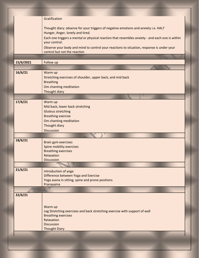|           | Gratification                                                                                                    |
|-----------|------------------------------------------------------------------------------------------------------------------|
|           | Thought diary: observe for your triggers of negative emotions and anxiety i.e. HALT                              |
|           | Hunger, Anger, lonely and tired.                                                                                 |
|           | Each one triggers a mental or physical reaction that resembles anxiety - and each one is within<br>your control. |
|           | Observe your body and mind to control your reactions to situation, response is under your                        |
|           | control but not the reaction                                                                                     |
|           |                                                                                                                  |
| 15/6/2021 | Follow up                                                                                                        |
|           |                                                                                                                  |
| 16/6/21   | Warm up                                                                                                          |
|           | Stretching exercises of shoulder, upper back, and mid back                                                       |
|           | <b>Breathing</b><br>Om chanting meditation                                                                       |
|           | Thought diary                                                                                                    |
|           |                                                                                                                  |
| 17/6/21   | Warm up                                                                                                          |
|           | Mid back, lower back stretching                                                                                  |
|           | <b>Gluteus stretching</b>                                                                                        |
|           | <b>Breathing exercise</b>                                                                                        |
|           | Om chanting meditation                                                                                           |
|           | Thought diary                                                                                                    |
|           | <b>Discussion</b>                                                                                                |
|           |                                                                                                                  |
| 18/6/21   | Brain gym exercises                                                                                              |
|           | Spine mobility exercises                                                                                         |
|           | <b>Breathing exercises</b><br>Relaxation                                                                         |
|           | <b>Discussion</b>                                                                                                |
|           |                                                                                                                  |
| 21/6/21   |                                                                                                                  |
|           | Introduction of yoga<br>Difference between Yoga and Exercise                                                     |
|           | Yoga asana in sitting, spine and prone positions                                                                 |
|           | Pranayama                                                                                                        |
|           |                                                                                                                  |
| 22/6/21   |                                                                                                                  |
|           |                                                                                                                  |
|           | Warm up                                                                                                          |
|           | Leg Stretching exercises and back stretching exercise with support of wall                                       |
|           | <b>Breathing exercises</b>                                                                                       |
|           | Relaxation                                                                                                       |
|           | <b>Discussion</b><br><b>Thought Diary</b>                                                                        |
|           |                                                                                                                  |
|           |                                                                                                                  |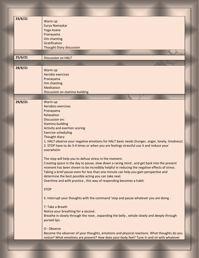| 23/6/21 | Warm up                                                                                        |
|---------|------------------------------------------------------------------------------------------------|
|         | Surya Namaskar                                                                                 |
|         | Yoga Asana                                                                                     |
|         |                                                                                                |
|         | Pranayama                                                                                      |
|         | Om chanting                                                                                    |
|         | Gratification                                                                                  |
|         | <b>Thought Diary discussion</b>                                                                |
|         |                                                                                                |
| 25/6/21 | <b>Discussion on HALT</b>                                                                      |
|         |                                                                                                |
| 28/6/21 |                                                                                                |
|         | Warm up                                                                                        |
|         | Aerobic exercises                                                                              |
|         | Pranayama                                                                                      |
|         | Om chanting                                                                                    |
|         | <b>Meditation</b>                                                                              |
|         | Discussion on stamina building                                                                 |
|         |                                                                                                |
| 29/6/21 | Warm up                                                                                        |
|         | <b>Aerobics exercises</b>                                                                      |
|         | Pranayama                                                                                      |
|         | Relaxation                                                                                     |
|         | Discussion on:                                                                                 |
|         | <b>Stamina building</b>                                                                        |
|         | Activity and exertion scoring                                                                  |
|         | <b>Exercise scheduling</b>                                                                     |
|         | Thought diary:                                                                                 |
|         | 1. HALT observe your negative emotions for HALT basic needs (hunger, anger, lonely, tiredness) |
|         | 2. STOP have to do 3-4 times or when you are feelings stressful use it and reduce your         |
|         | overwhelm                                                                                      |
|         |                                                                                                |
|         |                                                                                                |
|         | The stop will help you to defuse stress in the moment.                                         |
|         | Creating space in the day to pause, slow down a racing mind, and get back into the present     |
|         | moment has been shown to be incredibly helpful in reducing the negative effects of stress.     |
|         | Taking a brief pause-even for less than one minute can help you gain perspective and           |
|         | determine the best possible acting you can take next.                                          |
|         | Overtime and with practice, this way of responding becomes a habit.                            |
|         |                                                                                                |
|         | <b>STOP</b>                                                                                    |
|         |                                                                                                |
|         | S: Interrupt your thoughts with the command 'stop and pause whatever you are doing.            |
|         |                                                                                                |
|         | T: Take a Breath                                                                               |
|         | Notice your breathing for a second.                                                            |
|         | Breathe in slowly through the nose, expanding the belly, exhale slowly and deeply through      |
|         | pursed lips.                                                                                   |
|         |                                                                                                |
|         | O: Observe                                                                                     |
|         | Become the observer of your thoughts, emotions and physical reactions. What thoughts do you    |
|         | notice? What emotions are present? How does your body feel? Tune in and sit with whatever      |
|         |                                                                                                |
|         |                                                                                                |